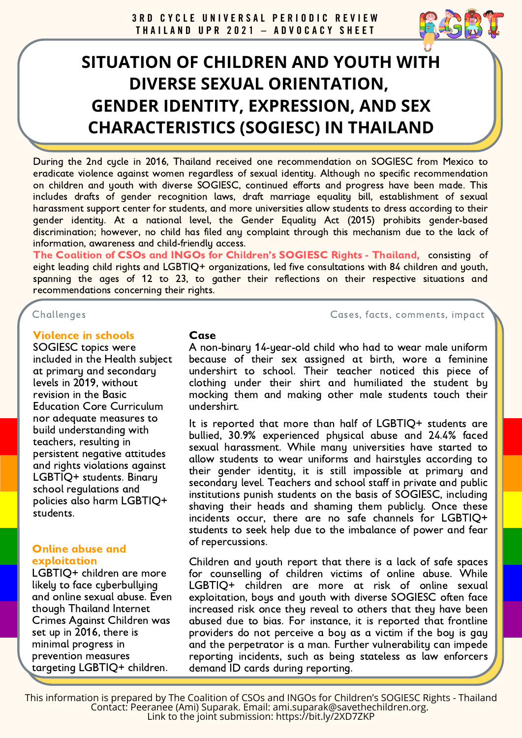# **SITUATION OF CHILDREN AND YOUTH WITH DIVERSE SEXUAL ORIENTATION, GENDER IDENTITY, EXPRESSION, AND SEX CHARACTERISTICS (SOGIESC) IN THAILAND**

During the 2nd cycle in 2016, Thailand received one recommendation on SOGIESC from Mexico to eradicate violence against women regardless of sexual identity. Although no specific recommendation on children and youth with diverse SOGIESC, continued efforts and progress have been made. This includes drafts of gender recognition laws, draft marriage equality bill, establishment of sexual harassment support center for students, and more universities allow students to dress according to their gender identity. At a national level, the Gender Equality Act (2015) prohibits gender-based discrimination; however, no child has filed any complaint through this mechanism due to the lack of information, awareness and child-friendly access.

The Coalition of CSOs and INGOs for Children's SOGIESC Rights - Thailand, consisting of eight leading child rights and LGBTIQ+ organizations, led five consultations with 84 children and youth, spanning the ages of 12 to 23, to gather their reflections on their respective situations and recommendations concerning their rights.

#### Challenges Cases, facts, comments, impact

#### Violence in schools

SOGIESC topics were included in the Health subject at primary and secondary levels in 2019, without revision in the Basic Education Core Curriculum nor adequate measures to build understanding with teachers, resulting in persistent negative attitudes and rights violations against LGBTIQ+ students. Binary school regulations and policies also harm LGBTIQ+ students.

#### Online abuse and exploitation

LGBTIQ+ children are more likely to face cyberbullying and online sexual abuse. Even though Thailand Internet Crimes Against Children was set up in 2016, there is minimal progress in prevention measures targeting LGBTIQ+ children.

#### **Case**

A non-binary 14-year-old child who had to wear male uniform because of their sex assigned at birth, wore a feminine undershirt to school. Their teacher noticed this piece of clothing under their shirt and humiliated the student by mocking them and making other male students touch their undershirt.

It is reported that more than half of LGBTIQ+ students are bullied, 30.9% experienced physical abuse and 24.4% faced sexual harassment. While many universities have started to allow students to wear uniforms and hairstyles according to their gender identity, it is still impossible at primary and secondary level. Teachers and school staff in private and public institutions punish students on the basis of SOGIESC, including shaving their heads and shaming them publicly. Once these incidents occur, there are no safe channels for LGBTIQ+ students to seek help due to the imbalance of power and fear of repercussions.

Children and youth report that there is a lack of safe spaces for counselling of children victims of online abuse. While LGBTIQ+ children are more at risk of online sexual exploitation, boys and youth with diverse SOGIESC often face increased risk once they reveal to others that they have been abused due to bias. For instance, it is reported that frontline providers do not perceive a boy as a victim if the boy is gay and the perpetrator is a man. Further vulnerability can impede reporting incidents, such as being stateless as law enforcers demand ID cards during reporting.

This information is prepared by The Coalition of CSOs and INGOs for Children's SOGIESC Rights - Thailand Contact: Peeranee (Ami) Suparak. Email: [ami.suparak@savethechildren.org](mailto:ami.suparak@savethechildren.org). Link to the joint submission: <https://bit.ly/2XD7ZKP>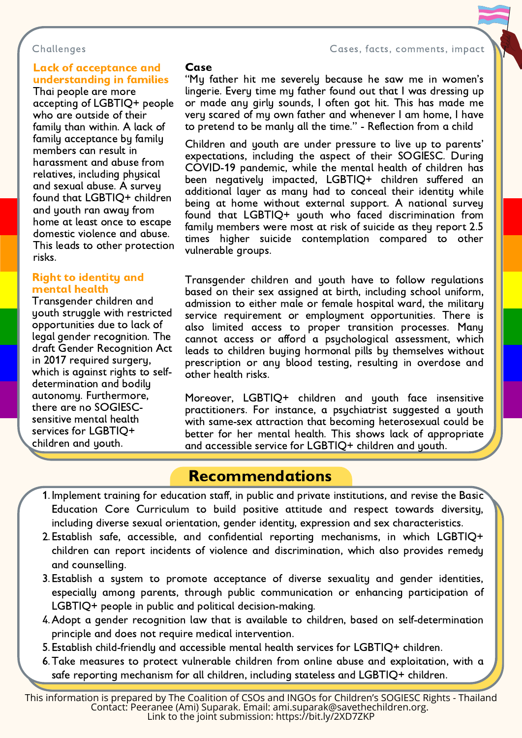Challenges Cases, facts, comments, impact

#### Lack of acceptance and understanding in families

Thai people are more accepting of LGBTIQ+ people who are outside of their family than within. A lack of family acceptance by family members can result in harassment and abuse from relatives, including physical and sexual abuse. A survey found that LGBTIQ+ children and youth ran away from home at least once to escape domestic violence and abuse. This leads to other protection risks.

#### Right to identity and mental health

Transgender children and youth struggle with restricted opportunities due to lack of legal gender recognition. The draft Gender Recognition Act in 2017 required surgery, which is against rights to selfdetermination and bodily autonomy. Furthermore, there are no SOGIESCsensitive mental health services for LGBTIQ+ children and youth.

#### Case

"My father hit me severely because he saw me in women's lingerie. Every time my father found out that I was dressing up or made any girly sounds, I often got hit. This has made me very scared of my own father and whenever I am home, I have to pretend to be manly all the time." - Reflection from a child

Children and youth are under pressure to live up to parents' expectations, including the aspect of their SOGIESC. During COVID-19 pandemic, while the mental health of children has been negatively impacted, LGBTIQ+ children suffered an additional layer as many had to conceal their identity while being at home without external support. A national survey found that LGBTIQ+ youth who faced discrimination from family members were most at risk of suicide as they report 2.5 times higher suicide contemplation compared to other vulnerable groups.

Transgender children and youth have to follow regulations based on their sex assigned at birth, including school uniform, admission to either male or female hospital ward, the military service requirement or employment opportunities. There is also limited access to proper transition processes. Many cannot access or afford a psychological assessment, which leads to children buying hormonal pills by themselves without prescription or any blood testing, resulting in overdose and other health risks.

Moreover, LGBTIQ+ children and youth face insensitive practitioners. For instance, a psychiatrist suggested a youth with same-sex attraction that becoming heterosexual could be better for her mental health. This shows lack of appropriate and accessible service for LGBTIQ+ children and youth.

## Recommendations

- 1. Implement training for education staff, in public and private institutions, and revise the Basic Education Core Curriculum to build positive attitude and respect towards diversity, including diverse sexual orientation, gender identity, expression and sex characteristics.
- Establish safe, accessible, and confidential reporting mechanisms, in which LGBTIQ+ 2. children can report incidents of violence and discrimination, which also provides remedy and counselling.
- 3. Establish a sustem to promote acceptance of diverse sexualitu and gender identities. especially among parents, through public communication or enhancing participation of LGBTIQ+ people in public and political decision-making.
- Adopt a gender recognition law that is available to children, based on self-determination 4. principle and does not require medical intervention.
- Establish child-friendly and accessible mental health services for LGBTIQ+ children. 5.
- Take measures to protect vulnerable children from online abuse and exploitation, with a 6. safe reporting mechanism for all children, including stateless and LGBTIQ+ children.

This information is prepared by The Coalition of CSOs and INGOs for Children's SOGIESC Rights - Thailand Contact: Peeranee (Ami) Suparak. Email: [ami.suparak@savethechildren.org](mailto:ami.suparak@savethechildren.org). Link to the joint submission: <https://bit.ly/2XD7ZKP>